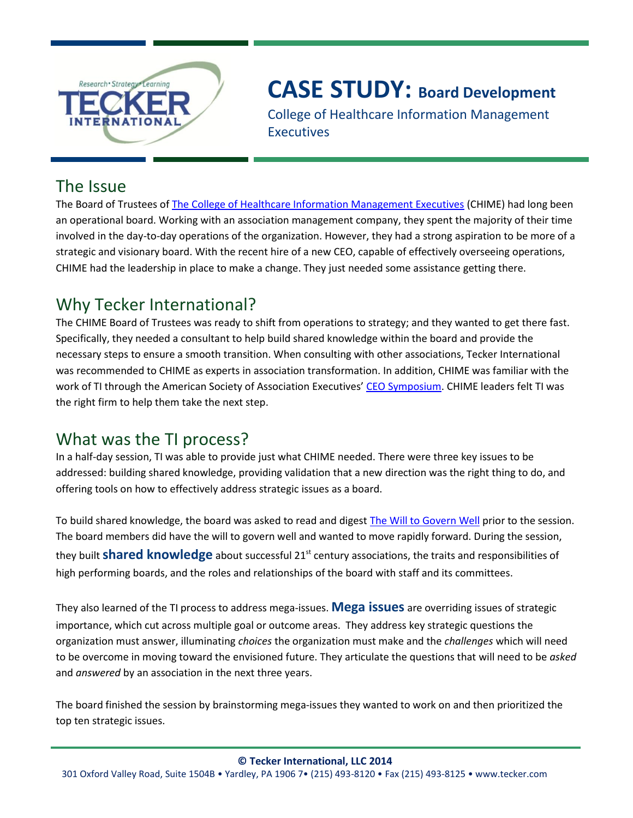

# **CASE STUDY: Board Development**

College of Healthcare Information Management Executives

### The Issue

The Board of Trustees of [The College of Healthcare Information Management Executives](http://www.cio-chime.org/) (CHIME) had long been an operational board. Working with an association management company, they spent the majority of their time involved in the day-to-day operations of the organization. However, they had a strong aspiration to be more of a strategic and visionary board. With the recent hire of a new CEO, capable of effectively overseeing operations, CHIME had the leadership in place to make a change. They just needed some assistance getting there.

## Why Tecker International?

The CHIME Board of Trustees was ready to shift from operations to strategy; and they wanted to get there fast. Specifically, they needed a consultant to help build shared knowledge within the board and provide the necessary steps to ensure a smooth transition. When consulting with other associations, Tecker International was recommended to CHIME as experts in association transformation. In addition, CHIME was familiar with the work of TI through the American Society of Association Executives' [CEO Symposium.](http://www.tecker.com/resources/ceo-symposium-for-chief-executive-officers/) CHIME leaders felt TI was the right firm to help them take the next step.

## What was the TI process?

In a half-day session, TI was able to provide just what CHIME needed. There were three key issues to be addressed: building shared knowledge, providing validation that a new direction was the right thing to do, and offering tools on how to effectively address strategic issues as a board.

To build shared knowledge, the board was asked to read and diges[t The Will to Govern Well](http://www.tecker.com/resources/publications-for-sale/) prior to the session. The board members did have the will to govern well and wanted to move rapidly forward. During the session, they built **shared knowledge** about successful 21<sup>st</sup> century associations, the traits and responsibilities of high performing boards, and the roles and relationships of the board with staff and its committees.

They also learned of the TI process to address mega-issues. **Mega issues** are overriding issues of strategic importance, which cut across multiple goal or outcome areas. They address key strategic questions the organization must answer, illuminating *choices* the organization must make and the *challenges* which will need to be overcome in moving toward the envisioned future. They articulate the questions that will need to be *asked*  and *answered* by an association in the next three years.

The board finished the session by brainstorming mega-issues they wanted to work on and then prioritized the top ten strategic issues.